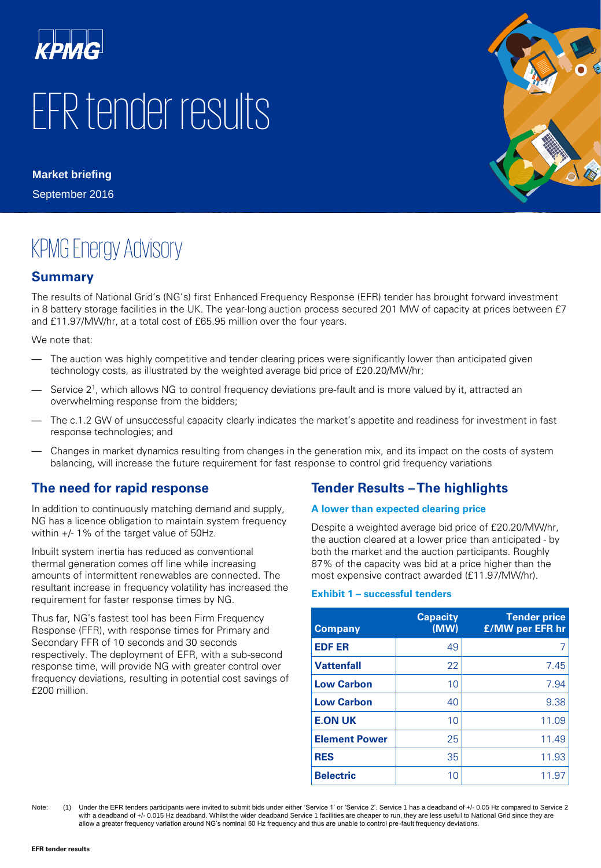

# EFR tender results

**Market briefing** September 2016



# KPMG Energy Advisory

#### **Summary**

The results of National Grid's (NG's) first Enhanced Frequency Response (EFR) tender has brought forward investment in 8 battery storage facilities in the UK. The year-long auction process secured 201 MW of capacity at prices between £7 and £11.97/MW/hr, at a total cost of £65.95 million over the four years.

We note that:

- The auction was highly competitive and tender clearing prices were significantly lower than anticipated given technology costs, as illustrated by the weighted average bid price of £20.20/MW/hr;
- Service 2 1 , which allows NG to control frequency deviations pre-fault and is more valued by it, attracted an overwhelming response from the bidders;
- The c.1.2 GW of unsuccessful capacity clearly indicates the market's appetite and readiness for investment in fast response technologies; and
- Changes in market dynamics resulting from changes in the generation mix, and its impact on the costs of system balancing, will increase the future requirement for fast response to control grid frequency variations

#### **The need for rapid response**

In addition to continuously matching demand and supply, NG has a licence obligation to maintain system frequency within +/- 1% of the target value of 50Hz.

Inbuilt system inertia has reduced as conventional thermal generation comes off line while increasing amounts of intermittent renewables are connected. The resultant increase in frequency volatility has increased the requirement for faster response times by NG.

Thus far, NG's fastest tool has been Firm Frequency Response (FFR), with response times for Primary and Secondary FFR of 10 seconds and 30 seconds respectively. The deployment of EFR, with a sub-second response time, will provide NG with greater control over frequency deviations, resulting in potential cost savings of £200 million.

### **Tender Results –The highlights**

#### **A lower than expected clearing price**

Despite a weighted average bid price of £20.20/MW/hr, the auction cleared at a lower price than anticipated - by both the market and the auction participants. Roughly 87% of the capacity was bid at a price higher than the most expensive contract awarded (£11.97/MW/hr).

#### **Exhibit 1 – successful tenders**

| <b>Company</b>       | <b>Capacity</b><br>(MW) | <b>Tender price</b><br><b>£/MW per EFR hr</b> |
|----------------------|-------------------------|-----------------------------------------------|
| <b>EDF ER</b>        | 49                      | 7                                             |
| <b>Vattenfall</b>    | 22                      | 7.45                                          |
| <b>Low Carbon</b>    | 10                      | 7.94                                          |
| <b>Low Carbon</b>    | 40                      | 9.38                                          |
| <b>E.ON UK</b>       | 10                      | 11.09                                         |
| <b>Element Power</b> | 25                      | 11.49                                         |
| <b>RES</b>           | 35                      | 11.93                                         |
| <b>Belectric</b>     | 10                      | 11.97                                         |

Note: (1) Under the EFR tenders participants were invited to submit bids under either 'Service 1' or 'Service 2'. Service 2 has a deadband of +/- 0.05 Hz compared to Service 2 with a deadband of +/- 0.015 Hz deadband. Whilst the wider deadband Service 1 facilities are cheaper to run, they are less useful to National Grid since they are allow a greater frequency variation around NG's nominal 50 Hz frequency and thus are unable to control pre-fault frequency deviations.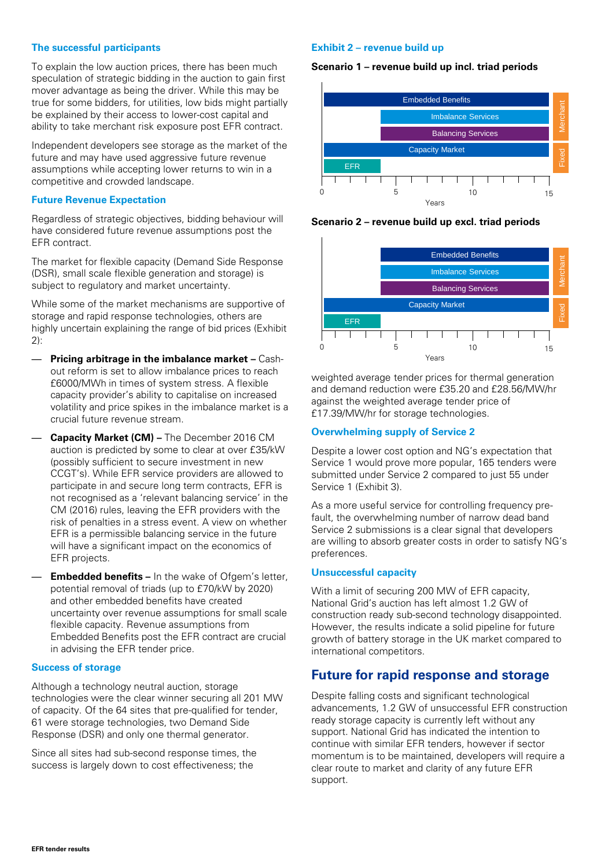#### **The successful participants**

To explain the low auction prices, there has been much speculation of strategic bidding in the auction to gain first mover advantage as being the driver. While this may be true for some bidders, for utilities, low bids might partially be explained by their access to lower-cost capital and ability to take merchant risk exposure post EFR contract.

Independent developers see storage as the market of the future and may have used aggressive future revenue assumptions while accepting lower returns to win in a competitive and crowded landscape.

#### **Future Revenue Expectation**

Regardless of strategic objectives, bidding behaviour will have considered future revenue assumptions post the EFR contract.

The market for flexible capacity (Demand Side Response (DSR), small scale flexible generation and storage) is subject to regulatory and market uncertainty.

While some of the market mechanisms are supportive of storage and rapid response technologies, others are highly uncertain explaining the range of bid prices (Exhibit 2):

- **Pricing arbitrage in the imbalance market –** Cashout reform is set to allow imbalance prices to reach £6000/MWh in times of system stress. A flexible capacity provider's ability to capitalise on increased volatility and price spikes in the imbalance market is a crucial future revenue stream.
- **Capacity Market (CM) –** The December 2016 CM auction is predicted by some to clear at over £35/kW (possibly sufficient to secure investment in new CCGT's). While EFR service providers are allowed to participate in and secure long term contracts, EFR is not recognised as a 'relevant balancing service' in the CM (2016) rules, leaving the EFR providers with the risk of penalties in a stress event. A view on whether EFR is a permissible balancing service in the future will have a significant impact on the economics of EFR projects.
- **Embedded benefits –** In the wake of Ofgem's letter, potential removal of triads (up to £70/kW by 2020) and other embedded benefits have created uncertainty over revenue assumptions for small scale flexible capacity. Revenue assumptions from Embedded Benefits post the EFR contract are crucial in advising the EFR tender price.

#### **Success of storage**

Although a technology neutral auction, storage technologies were the clear winner securing all 201 MW of capacity. Of the 64 sites that pre-qualified for tender, 61 were storage technologies, two Demand Side Response (DSR) and only one thermal generator.

Since all sites had sub-second response times, the success is largely down to cost effectiveness; the

#### **Exhibit 2 – revenue build up**

#### **Scenario 1 – revenue build up incl. triad periods**







weighted average tender prices for thermal generation and demand reduction were £35.20 and £28.56/MW/hr against the weighted average tender price of £17.39/MW/hr for storage technologies.

#### **Overwhelming supply of Service 2**

Despite a lower cost option and NG's expectation that Service 1 would prove more popular, 165 tenders were submitted under Service 2 compared to just 55 under Service 1 (Exhibit 3).

As a more useful service for controlling frequency prefault, the overwhelming number of narrow dead band Service 2 submissions is a clear signal that developers are willing to absorb greater costs in order to satisfy NG's preferences.

#### **Unsuccessful capacity**

With a limit of securing 200 MW of EFR capacity, National Grid's auction has left almost 1.2 GW of construction ready sub-second technology disappointed. However, the results indicate a solid pipeline for future growth of battery storage in the UK market compared to international competitors.

#### **Future for rapid response and storage**

Despite falling costs and significant technological advancements, 1.2 GW of unsuccessful EFR construction ready storage capacity is currently left without any support. National Grid has indicated the intention to continue with similar EFR tenders, however if sector momentum is to be maintained, developers will require a clear route to market and clarity of any future EFR support.